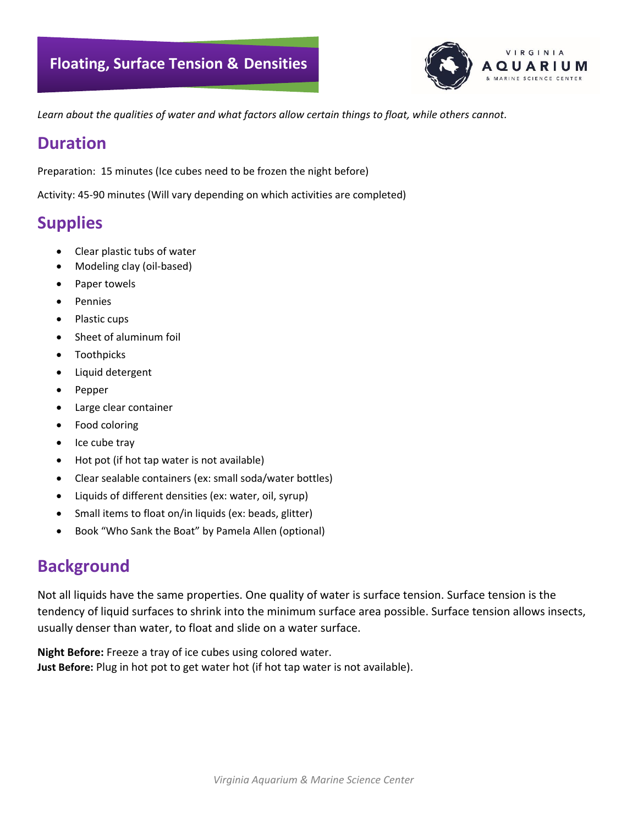

*Learn about the qualities of water and what factors allow certain things to float, while others cannot.*

## **Duration**

Preparation: 15 minutes (Ice cubes need to be frozen the night before)

Activity: 45-90 minutes (Will vary depending on which activities are completed)

# **Supplies**

- Clear plastic tubs of water
- Modeling clay (oil-based)
- Paper towels
- **Pennies**
- Plastic cups
- Sheet of aluminum foil
- **Toothpicks**
- Liquid detergent
- Pepper
- Large clear container
- Food coloring
- Ice cube tray
- Hot pot (if hot tap water is not available)
- Clear sealable containers (ex: small soda/water bottles)
- Liquids of different densities (ex: water, oil, syrup)
- Small items to float on/in liquids (ex: beads, glitter)
- Book "Who Sank the Boat" by Pamela Allen (optional)

# **Background**

Not all liquids have the same properties. One quality of water is surface tension. Surface tension is the tendency of liquid surfaces to shrink into the minimum surface area possible. Surface tension allows insects, usually denser than water, to float and slide on a water surface.

**Night Before:** Freeze a tray of ice cubes using colored water. **Just Before:** Plug in hot pot to get water hot (if hot tap water is not available).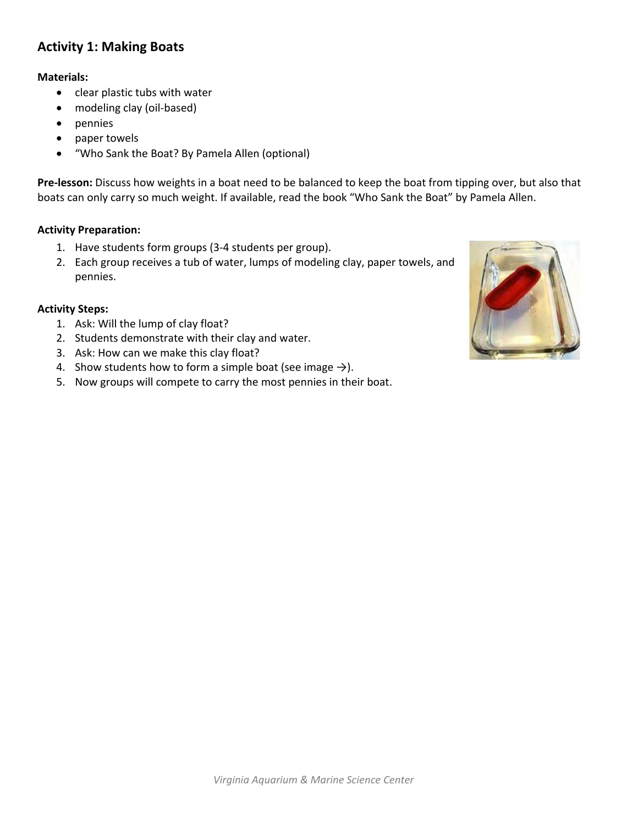### **Activity 1: Making Boats**

#### **Materials:**

- clear plastic tubs with water
- modeling clay (oil-based)
- pennies
- paper towels
- "Who Sank the Boat? By Pamela Allen (optional)

**Pre-lesson:** Discuss how weights in a boat need to be balanced to keep the boat from tipping over, but also that boats can only carry so much weight. If available, read the book "Who Sank the Boat" by Pamela Allen.

#### **Activity Preparation:**

- 1. Have students form groups (3-4 students per group).
- 2. Each group receives a tub of water, lumps of modeling clay, paper towels, and pennies.

#### **Activity Steps:**

- 1. Ask: Will the lump of clay float?
- 2. Students demonstrate with their clay and water.
- 3. Ask: How can we make this clay float?
- 4. Show students how to form a simple boat (see image  $\rightarrow$ ).
- 5. Now groups will compete to carry the most pennies in their boat.

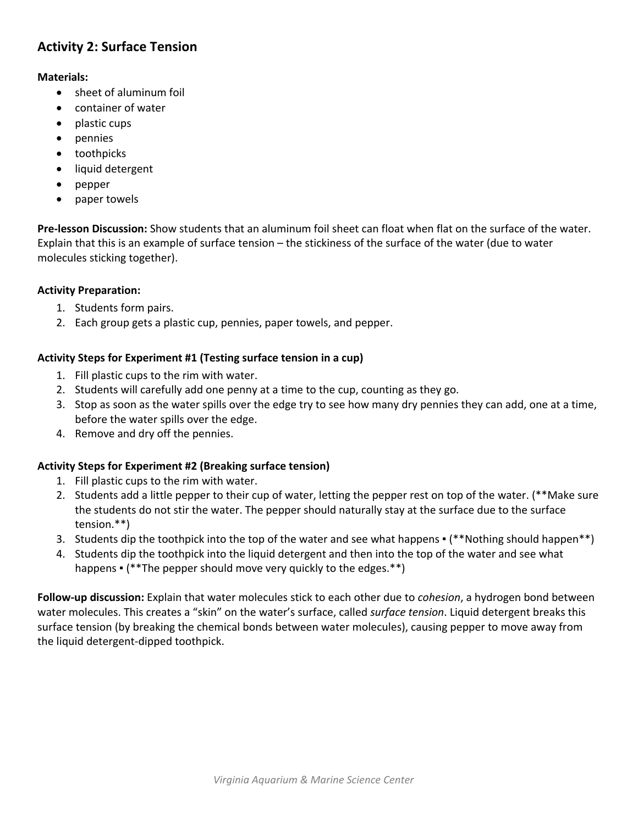## **Activity 2: Surface Tension**

#### **Materials:**

- sheet of aluminum foil
- container of water
- plastic cups
- pennies
- toothpicks
- liquid detergent
- pepper
- paper towels

**Pre-lesson Discussion:** Show students that an aluminum foil sheet can float when flat on the surface of the water. Explain that this is an example of surface tension – the stickiness of the surface of the water (due to water molecules sticking together).

#### **Activity Preparation:**

- 1. Students form pairs.
- 2. Each group gets a plastic cup, pennies, paper towels, and pepper.

#### **Activity Steps for Experiment #1 (Testing surface tension in a cup)**

- 1. Fill plastic cups to the rim with water.
- 2. Students will carefully add one penny at a time to the cup, counting as they go.
- 3. Stop as soon as the water spills over the edge try to see how many dry pennies they can add, one at a time, before the water spills over the edge.
- 4. Remove and dry off the pennies.

#### **Activity Steps for Experiment #2 (Breaking surface tension)**

- 1. Fill plastic cups to the rim with water.
- 2. Students add a little pepper to their cup of water, letting the pepper rest on top of the water. (\*\*Make sure the students do not stir the water. The pepper should naturally stay at the surface due to the surface tension.\*\*)
- 3. Students dip the toothpick into the top of the water and see what happens (\*\*Nothing should happen\*\*)
- 4. Students dip the toothpick into the liquid detergent and then into the top of the water and see what happens  $\cdot$  (\*\*The pepper should move very quickly to the edges.\*\*)

**Follow-up discussion:** Explain that water molecules stick to each other due to *cohesion*, a hydrogen bond between water molecules. This creates a "skin" on the water's surface, called *surface tension*. Liquid detergent breaks this surface tension (by breaking the chemical bonds between water molecules), causing pepper to move away from the liquid detergent-dipped toothpick.